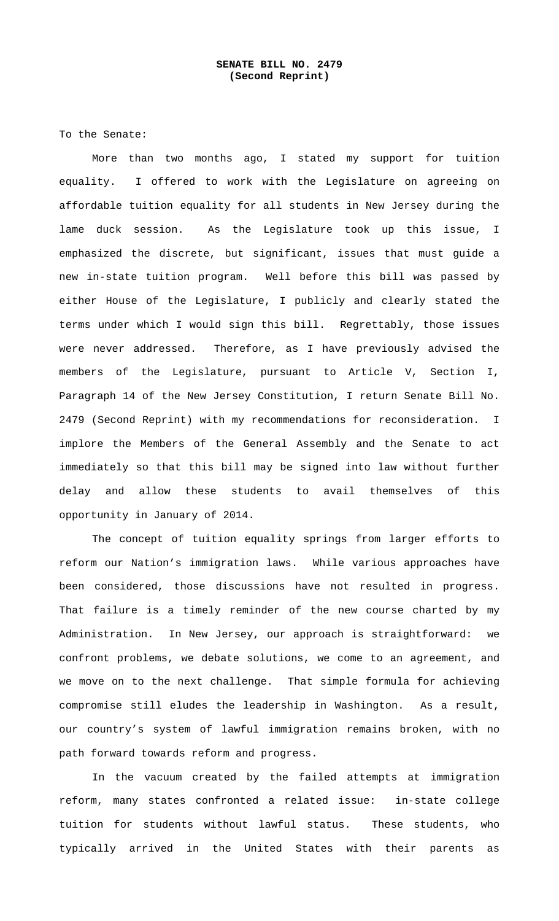To the Senate:

 More than two months ago, I stated my support for tuition equality. I offered to work with the Legislature on agreeing on affordable tuition equality for all students in New Jersey during the lame duck session. As the Legislature took up this issue, I emphasized the discrete, but significant, issues that must guide a new in-state tuition program. Well before this bill was passed by either House of the Legislature, I publicly and clearly stated the terms under which I would sign this bill. Regrettably, those issues were never addressed. Therefore, as I have previously advised the members of the Legislature, pursuant to Article V, Section I, Paragraph 14 of the New Jersey Constitution, I return Senate Bill No. 2479 (Second Reprint) with my recommendations for reconsideration. I implore the Members of the General Assembly and the Senate to act immediately so that this bill may be signed into law without further delay and allow these students to avail themselves of this opportunity in January of 2014.

The concept of tuition equality springs from larger efforts to reform our Nation's immigration laws. While various approaches have been considered, those discussions have not resulted in progress. That failure is a timely reminder of the new course charted by my Administration. In New Jersey, our approach is straightforward: we confront problems, we debate solutions, we come to an agreement, and we move on to the next challenge. That simple formula for achieving compromise still eludes the leadership in Washington. As a result, our country's system of lawful immigration remains broken, with no path forward towards reform and progress.

In the vacuum created by the failed attempts at immigration reform, many states confronted a related issue: in-state college tuition for students without lawful status. These students, who typically arrived in the United States with their parents as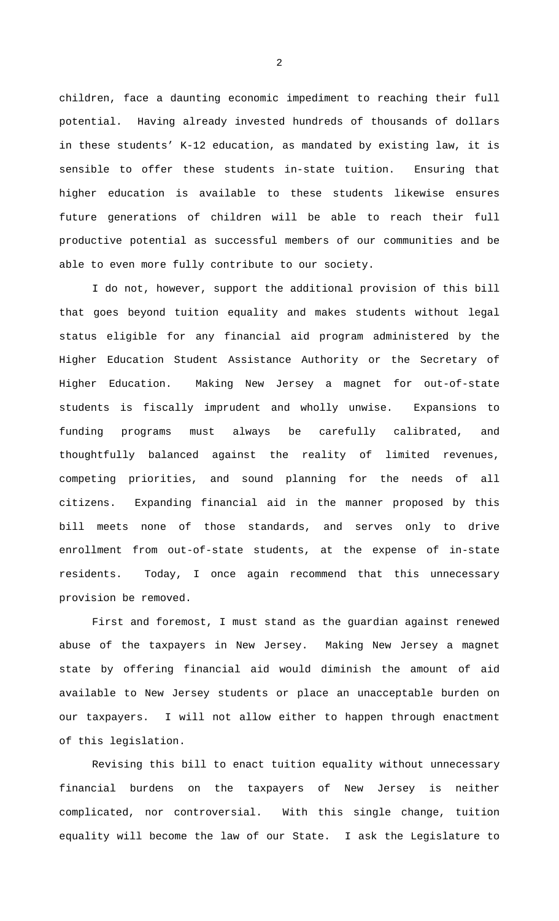children, face a daunting economic impediment to reaching their full potential. Having already invested hundreds of thousands of dollars in these students' K-12 education, as mandated by existing law, it is sensible to offer these students in-state tuition. Ensuring that higher education is available to these students likewise ensures future generations of children will be able to reach their full productive potential as successful members of our communities and be able to even more fully contribute to our society.

I do not, however, support the additional provision of this bill that goes beyond tuition equality and makes students without legal status eligible for any financial aid program administered by the Higher Education Student Assistance Authority or the Secretary of Higher Education. Making New Jersey a magnet for out-of-state students is fiscally imprudent and wholly unwise. Expansions to funding programs must always be carefully calibrated, and thoughtfully balanced against the reality of limited revenues, competing priorities, and sound planning for the needs of all citizens. Expanding financial aid in the manner proposed by this bill meets none of those standards, and serves only to drive enrollment from out-of-state students, at the expense of in-state residents. Today, I once again recommend that this unnecessary provision be removed.

First and foremost, I must stand as the guardian against renewed abuse of the taxpayers in New Jersey. Making New Jersey a magnet state by offering financial aid would diminish the amount of aid available to New Jersey students or place an unacceptable burden on our taxpayers. I will not allow either to happen through enactment of this legislation.

Revising this bill to enact tuition equality without unnecessary financial burdens on the taxpayers of New Jersey is neither complicated, nor controversial. With this single change, tuition equality will become the law of our State. I ask the Legislature to

 $\overline{2}$